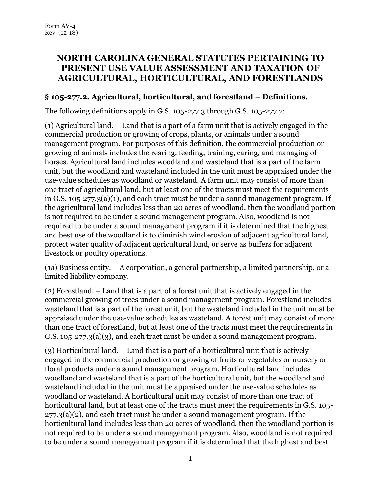# **NORTH CAROLINA GENERAL STATUTES PERTAINING TO PRESENT USE VALUE ASSESSMENT AND TAXATION OF AGRICULTURAL, HORTICULTURAL, AND FORESTLANDS**

#### **§ 105-277.2. Agricultural, horticultural, and forestland – Definitions.**

The following definitions apply in G.S. 105-277.3 through G.S. 105-277.7:

(1) Agricultural land. – Land that is a part of a farm unit that is actively engaged in the commercial production or growing of crops, plants, or animals under a sound management program. For purposes of this definition, the commercial production or growing of animals includes the rearing, feeding, training, caring, and managing of horses. Agricultural land includes woodland and wasteland that is a part of the farm unit, but the woodland and wasteland included in the unit must be appraised under the use-value schedules as woodland or wasteland. A farm unit may consist of more than one tract of agricultural land, but at least one of the tracts must meet the requirements in G.S. 105-277.3(a)(1), and each tract must be under a sound management program. If the agricultural land includes less than 20 acres of woodland, then the woodland portion is not required to be under a sound management program. Also, woodland is not required to be under a sound management program if it is determined that the highest and best use of the woodland is to diminish wind erosion of adjacent agricultural land, protect water quality of adjacent agricultural land, or serve as buffers for adjacent livestock or poultry operations.

(1a) Business entity. – A corporation, a general partnership, a limited partnership, or a limited liability company.

(2) Forestland. – Land that is a part of a forest unit that is actively engaged in the commercial growing of trees under a sound management program. Forestland includes wasteland that is a part of the forest unit, but the wasteland included in the unit must be appraised under the use-value schedules as wasteland. A forest unit may consist of more than one tract of forestland, but at least one of the tracts must meet the requirements in G.S. 105-277.3(a)(3), and each tract must be under a sound management program.

(3) Horticultural land. – Land that is a part of a horticultural unit that is actively engaged in the commercial production or growing of fruits or vegetables or nursery or floral products under a sound management program. Horticultural land includes woodland and wasteland that is a part of the horticultural unit, but the woodland and wasteland included in the unit must be appraised under the use-value schedules as woodland or wasteland. A horticultural unit may consist of more than one tract of horticultural land, but at least one of the tracts must meet the requirements in G.S. 105- $277.3(a)(2)$ , and each tract must be under a sound management program. If the horticultural land includes less than 20 acres of woodland, then the woodland portion is not required to be under a sound management program. Also, woodland is not required to be under a sound management program if it is determined that the highest and best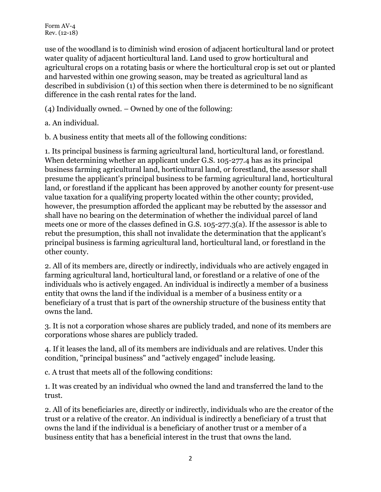use of the woodland is to diminish wind erosion of adjacent horticultural land or protect water quality of adjacent horticultural land. Land used to grow horticultural and agricultural crops on a rotating basis or where the horticultural crop is set out or planted and harvested within one growing season, may be treated as agricultural land as described in subdivision (1) of this section when there is determined to be no significant difference in the cash rental rates for the land.

(4) Individually owned. – Owned by one of the following:

a. An individual.

b. A business entity that meets all of the following conditions:

1. Its principal business is farming agricultural land, horticultural land, or forestland. When determining whether an applicant under G.S. 105-277.4 has as its principal business farming agricultural land, horticultural land, or forestland, the assessor shall presume the applicant's principal business to be farming agricultural land, horticultural land, or forestland if the applicant has been approved by another county for present-use value taxation for a qualifying property located within the other county; provided, however, the presumption afforded the applicant may be rebutted by the assessor and shall have no bearing on the determination of whether the individual parcel of land meets one or more of the classes defined in G.S. 105-277.3(a). If the assessor is able to rebut the presumption, this shall not invalidate the determination that the applicant's principal business is farming agricultural land, horticultural land, or forestland in the other county.

2. All of its members are, directly or indirectly, individuals who are actively engaged in farming agricultural land, horticultural land, or forestland or a relative of one of the individuals who is actively engaged. An individual is indirectly a member of a business entity that owns the land if the individual is a member of a business entity or a beneficiary of a trust that is part of the ownership structure of the business entity that owns the land.

3. It is not a corporation whose shares are publicly traded, and none of its members are corporations whose shares are publicly traded.

4. If it leases the land, all of its members are individuals and are relatives. Under this condition, "principal business" and "actively engaged" include leasing.

c. A trust that meets all of the following conditions:

1. It was created by an individual who owned the land and transferred the land to the trust.

2. All of its beneficiaries are, directly or indirectly, individuals who are the creator of the trust or a relative of the creator. An individual is indirectly a beneficiary of a trust that owns the land if the individual is a beneficiary of another trust or a member of a business entity that has a beneficial interest in the trust that owns the land.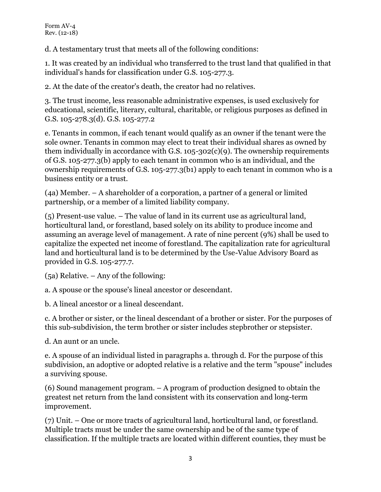d. A testamentary trust that meets all of the following conditions:

1. It was created by an individual who transferred to the trust land that qualified in that individual's hands for classification under G.S. 105-277.3.

2. At the date of the creator's death, the creator had no relatives.

3. The trust income, less reasonable administrative expenses, is used exclusively for educational, scientific, literary, cultural, charitable, or religious purposes as defined in G.S. 105-278.3(d). G.S. 105-277.2

e. Tenants in common, if each tenant would qualify as an owner if the tenant were the sole owner. Tenants in common may elect to treat their individual shares as owned by them individually in accordance with G.S.  $105-302(c)(9)$ . The ownership requirements of G.S. 105-277.3(b) apply to each tenant in common who is an individual, and the ownership requirements of G.S. 105-277.3(b1) apply to each tenant in common who is a business entity or a trust.

(4a) Member. – A shareholder of a corporation, a partner of a general or limited partnership, or a member of a limited liability company.

(5) Present-use value. – The value of land in its current use as agricultural land, horticultural land, or forestland, based solely on its ability to produce income and assuming an average level of management. A rate of nine percent (9%) shall be used to capitalize the expected net income of forestland. The capitalization rate for agricultural land and horticultural land is to be determined by the Use-Value Advisory Board as provided in G.S. 105-277.7.

(5a) Relative. – Any of the following:

a. A spouse or the spouse's lineal ancestor or descendant.

b. A lineal ancestor or a lineal descendant.

c. A brother or sister, or the lineal descendant of a brother or sister. For the purposes of this sub-subdivision, the term brother or sister includes stepbrother or stepsister.

d. An aunt or an uncle.

e. A spouse of an individual listed in paragraphs a. through d. For the purpose of this subdivision, an adoptive or adopted relative is a relative and the term "spouse" includes a surviving spouse.

(6) Sound management program. – A program of production designed to obtain the greatest net return from the land consistent with its conservation and long-term improvement.

(7) Unit. – One or more tracts of agricultural land, horticultural land, or forestland. Multiple tracts must be under the same ownership and be of the same type of classification. If the multiple tracts are located within different counties, they must be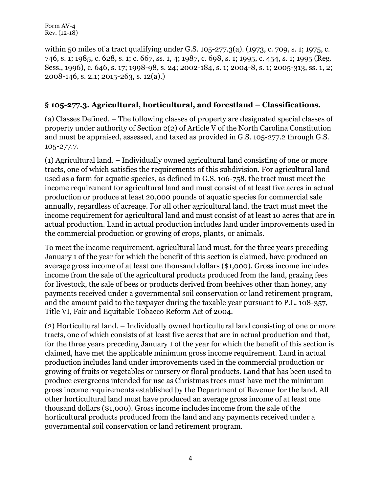within 50 miles of a tract qualifying under G.S. 105-277.3(a). (1973, c. 709, s. 1; 1975, c. 746, s. 1; 1985, c. 628, s. 1; c. 667, ss. 1, 4; 1987, c. 698, s. 1; 1995, c. 454, s. 1; 1995 (Reg. Sess., 1996), c. 646, s. 17; 1998-98, s. 24; 2002-184, s. 1; 2004-8, s. 1; 2005-313, ss. 1, 2; 2008-146, s. 2.1; 2015-263, s. 12(a).)

### **§ 105-277.3. Agricultural, horticultural, and forestland – Classifications.**

(a) Classes Defined. – The following classes of property are designated special classes of property under authority of Section 2(2) of Article V of the North Carolina Constitution and must be appraised, assessed, and taxed as provided in G.S. 105-277.2 through G.S. 105-277.7.

(1) Agricultural land. – Individually owned agricultural land consisting of one or more tracts, one of which satisfies the requirements of this subdivision. For agricultural land used as a farm for aquatic species, as defined in G.S. 106-758, the tract must meet the income requirement for agricultural land and must consist of at least five acres in actual production or produce at least 20,000 pounds of aquatic species for commercial sale annually, regardless of acreage. For all other agricultural land, the tract must meet the income requirement for agricultural land and must consist of at least 10 acres that are in actual production. Land in actual production includes land under improvements used in the commercial production or growing of crops, plants, or animals.

To meet the income requirement, agricultural land must, for the three years preceding January 1 of the year for which the benefit of this section is claimed, have produced an average gross income of at least one thousand dollars (\$1,000). Gross income includes income from the sale of the agricultural products produced from the land, grazing fees for livestock, the sale of bees or products derived from beehives other than honey, any payments received under a governmental soil conservation or land retirement program, and the amount paid to the taxpayer during the taxable year pursuant to P.L. 108-357, Title VI, Fair and Equitable Tobacco Reform Act of 2004.

(2) Horticultural land. – Individually owned horticultural land consisting of one or more tracts, one of which consists of at least five acres that are in actual production and that, for the three years preceding January 1 of the year for which the benefit of this section is claimed, have met the applicable minimum gross income requirement. Land in actual production includes land under improvements used in the commercial production or growing of fruits or vegetables or nursery or floral products. Land that has been used to produce evergreens intended for use as Christmas trees must have met the minimum gross income requirements established by the Department of Revenue for the land. All other horticultural land must have produced an average gross income of at least one thousand dollars (\$1,000). Gross income includes income from the sale of the horticultural products produced from the land and any payments received under a governmental soil conservation or land retirement program.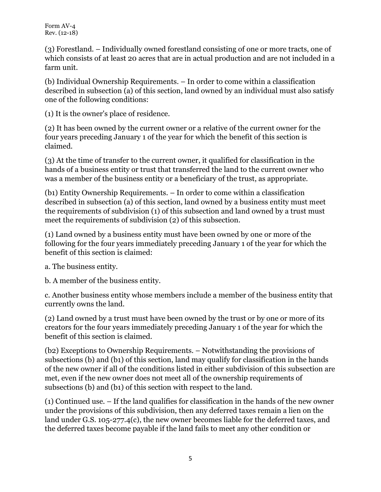(3) Forestland. – Individually owned forestland consisting of one or more tracts, one of which consists of at least 20 acres that are in actual production and are not included in a farm unit.

(b) Individual Ownership Requirements. – In order to come within a classification described in subsection (a) of this section, land owned by an individual must also satisfy one of the following conditions:

(1) It is the owner's place of residence.

(2) It has been owned by the current owner or a relative of the current owner for the four years preceding January 1 of the year for which the benefit of this section is claimed.

(3) At the time of transfer to the current owner, it qualified for classification in the hands of a business entity or trust that transferred the land to the current owner who was a member of the business entity or a beneficiary of the trust, as appropriate.

(b1) Entity Ownership Requirements. – In order to come within a classification described in subsection (a) of this section, land owned by a business entity must meet the requirements of subdivision (1) of this subsection and land owned by a trust must meet the requirements of subdivision (2) of this subsection.

(1) Land owned by a business entity must have been owned by one or more of the following for the four years immediately preceding January 1 of the year for which the benefit of this section is claimed:

a. The business entity.

b. A member of the business entity.

c. Another business entity whose members include a member of the business entity that currently owns the land.

(2) Land owned by a trust must have been owned by the trust or by one or more of its creators for the four years immediately preceding January 1 of the year for which the benefit of this section is claimed.

(b2) Exceptions to Ownership Requirements. – Notwithstanding the provisions of subsections (b) and (b1) of this section, land may qualify for classification in the hands of the new owner if all of the conditions listed in either subdivision of this subsection are met, even if the new owner does not meet all of the ownership requirements of subsections (b) and (b1) of this section with respect to the land.

(1) Continued use. – If the land qualifies for classification in the hands of the new owner under the provisions of this subdivision, then any deferred taxes remain a lien on the land under G.S. 105-277.4(c), the new owner becomes liable for the deferred taxes, and the deferred taxes become payable if the land fails to meet any other condition or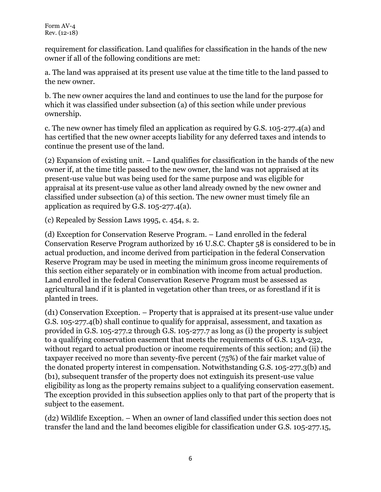requirement for classification. Land qualifies for classification in the hands of the new owner if all of the following conditions are met:

a. The land was appraised at its present use value at the time title to the land passed to the new owner.

b. The new owner acquires the land and continues to use the land for the purpose for which it was classified under subsection (a) of this section while under previous ownership.

c. The new owner has timely filed an application as required by G.S. 105-277.4(a) and has certified that the new owner accepts liability for any deferred taxes and intends to continue the present use of the land.

(2) Expansion of existing unit. – Land qualifies for classification in the hands of the new owner if, at the time title passed to the new owner, the land was not appraised at its present-use value but was being used for the same purpose and was eligible for appraisal at its present-use value as other land already owned by the new owner and classified under subsection (a) of this section. The new owner must timely file an application as required by G.S. 105-277.4(a).

(c) Repealed by Session Laws 1995, c. 454, s. 2.

(d) Exception for Conservation Reserve Program. – Land enrolled in the federal Conservation Reserve Program authorized by 16 U.S.C. Chapter 58 is considered to be in actual production, and income derived from participation in the federal Conservation Reserve Program may be used in meeting the minimum gross income requirements of this section either separately or in combination with income from actual production. Land enrolled in the federal Conservation Reserve Program must be assessed as agricultural land if it is planted in vegetation other than trees, or as forestland if it is planted in trees.

(d1) Conservation Exception. – Property that is appraised at its present-use value under G.S. 105-277.4(b) shall continue to qualify for appraisal, assessment, and taxation as provided in G.S. 105-277.2 through G.S. 105-277.7 as long as (i) the property is subject to a qualifying conservation easement that meets the requirements of G.S. 113A-232, without regard to actual production or income requirements of this section; and (ii) the taxpayer received no more than seventy-five percent (75%) of the fair market value of the donated property interest in compensation. Notwithstanding G.S. 105-277.3(b) and (b1), subsequent transfer of the property does not extinguish its present-use value eligibility as long as the property remains subject to a qualifying conservation easement. The exception provided in this subsection applies only to that part of the property that is subject to the easement.

(d2) Wildlife Exception. – When an owner of land classified under this section does not transfer the land and the land becomes eligible for classification under G.S. 105-277.15,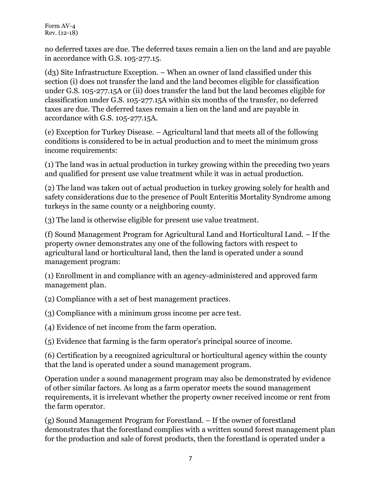no deferred taxes are due. The deferred taxes remain a lien on the land and are payable in accordance with G.S. 105-277.15.

(d3) Site Infrastructure Exception. – When an owner of land classified under this section (i) does not transfer the land and the land becomes eligible for classification under G.S. 105-277.15A or (ii) does transfer the land but the land becomes eligible for classification under G.S. 105-277.15A within six months of the transfer, no deferred taxes are due. The deferred taxes remain a lien on the land and are payable in accordance with G.S. 105-277.15A.

(e) Exception for Turkey Disease. – Agricultural land that meets all of the following conditions is considered to be in actual production and to meet the minimum gross income requirements:

(1) The land was in actual production in turkey growing within the preceding two years and qualified for present use value treatment while it was in actual production.

(2) The land was taken out of actual production in turkey growing solely for health and safety considerations due to the presence of Poult Enteritis Mortality Syndrome among turkeys in the same county or a neighboring county.

(3) The land is otherwise eligible for present use value treatment.

(f) Sound Management Program for Agricultural Land and Horticultural Land. – If the property owner demonstrates any one of the following factors with respect to agricultural land or horticultural land, then the land is operated under a sound management program:

(1) Enrollment in and compliance with an agency-administered and approved farm management plan.

(2) Compliance with a set of best management practices.

(3) Compliance with a minimum gross income per acre test.

(4) Evidence of net income from the farm operation.

(5) Evidence that farming is the farm operator's principal source of income.

(6) Certification by a recognized agricultural or horticultural agency within the county that the land is operated under a sound management program.

Operation under a sound management program may also be demonstrated by evidence of other similar factors. As long as a farm operator meets the sound management requirements, it is irrelevant whether the property owner received income or rent from the farm operator.

(g) Sound Management Program for Forestland. – If the owner of forestland demonstrates that the forestland complies with a written sound forest management plan for the production and sale of forest products, then the forestland is operated under a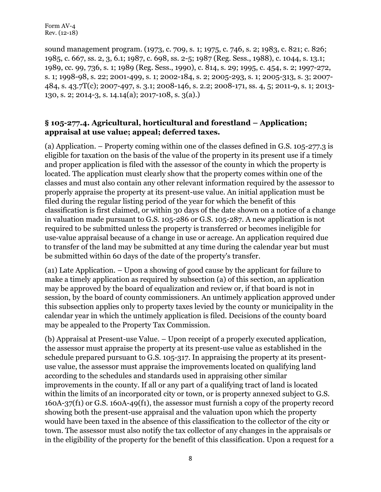Form AV-4 Rev. (12-18)

sound management program. (1973, c. 709, s. 1; 1975, c. 746, s. 2; 1983, c. 821; c. 826; 1985, c. 667, ss. 2, 3, 6.1; 1987, c. 698, ss. 2-5; 1987 (Reg. Sess., 1988), c. 1044, s. 13.1; 1989, cc. 99, 736, s. 1; 1989 (Reg. Sess., 1990), c. 814, s. 29; 1995, c. 454, s. 2; 1997-272, s. 1; 1998-98, s. 22; 2001-499, s. 1; 2002-184, s. 2; 2005-293, s. 1; 2005-313, s. 3; 2007- 484, s. 43.7T(c); 2007-497, s. 3.1; 2008-146, s. 2.2; 2008-171, ss. 4, 5; 2011-9, s. 1; 2013- 130, s. 2; 2014-3, s. 14.14(a); 2017-108, s. 3(a).)

#### **§ 105-277.4. Agricultural, horticultural and forestland – Application; appraisal at use value; appeal; deferred taxes.**

(a) Application. – Property coming within one of the classes defined in G.S. 105-277.3 is eligible for taxation on the basis of the value of the property in its present use if a timely and proper application is filed with the assessor of the county in which the property is located. The application must clearly show that the property comes within one of the classes and must also contain any other relevant information required by the assessor to properly appraise the property at its present-use value. An initial application must be filed during the regular listing period of the year for which the benefit of this classification is first claimed, or within 30 days of the date shown on a notice of a change in valuation made pursuant to G.S. 105-286 or G.S. 105-287. A new application is not required to be submitted unless the property is transferred or becomes ineligible for use-value appraisal because of a change in use or acreage. An application required due to transfer of the land may be submitted at any time during the calendar year but must be submitted within 60 days of the date of the property's transfer.

(a1) Late Application. – Upon a showing of good cause by the applicant for failure to make a timely application as required by subsection (a) of this section, an application may be approved by the board of equalization and review or, if that board is not in session, by the board of county commissioners. An untimely application approved under this subsection applies only to property taxes levied by the county or municipality in the calendar year in which the untimely application is filed. Decisions of the county board may be appealed to the Property Tax Commission.

(b) Appraisal at Present-use Value. – Upon receipt of a properly executed application, the assessor must appraise the property at its present-use value as established in the schedule prepared pursuant to G.S. 105-317. In appraising the property at its presentuse value, the assessor must appraise the improvements located on qualifying land according to the schedules and standards used in appraising other similar improvements in the county. If all or any part of a qualifying tract of land is located within the limits of an incorporated city or town, or is property annexed subject to G.S. 160A-37(f1) or G.S. 160A-49(f1), the assessor must furnish a copy of the property record showing both the present-use appraisal and the valuation upon which the property would have been taxed in the absence of this classification to the collector of the city or town. The assessor must also notify the tax collector of any changes in the appraisals or in the eligibility of the property for the benefit of this classification. Upon a request for a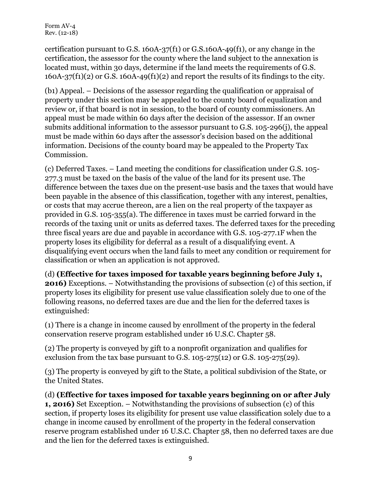certification pursuant to G.S. 160A-37(f1) or G.S.160A-49(f1), or any change in the certification, the assessor for the county where the land subject to the annexation is located must, within 30 days, determine if the land meets the requirements of G.S.  $160A-37(f1)(2)$  or G.S.  $160A-49(f1)(2)$  and report the results of its findings to the city.

(b1) Appeal. – Decisions of the assessor regarding the qualification or appraisal of property under this section may be appealed to the county board of equalization and review or, if that board is not in session, to the board of county commissioners. An appeal must be made within 60 days after the decision of the assessor. If an owner submits additional information to the assessor pursuant to G.S. 105-296(j), the appeal must be made within 60 days after the assessor's decision based on the additional information. Decisions of the county board may be appealed to the Property Tax Commission.

(c) Deferred Taxes. – Land meeting the conditions for classification under G.S. 105- 277.3 must be taxed on the basis of the value of the land for its present use. The difference between the taxes due on the present-use basis and the taxes that would have been payable in the absence of this classification, together with any interest, penalties, or costs that may accrue thereon, are a lien on the real property of the taxpayer as provided in G.S. 105-355(a). The difference in taxes must be carried forward in the records of the taxing unit or units as deferred taxes. The deferred taxes for the preceding three fiscal years are due and payable in accordance with G.S. 105-277.1F when the property loses its eligibility for deferral as a result of a disqualifying event. A disqualifying event occurs when the land fails to meet any condition or requirement for classification or when an application is not approved.

(d) **(Effective for taxes imposed for taxable years beginning before July 1, 2016)** Exceptions. – Notwithstanding the provisions of subsection (c) of this section, if property loses its eligibility for present use value classification solely due to one of the following reasons, no deferred taxes are due and the lien for the deferred taxes is extinguished:

(1) There is a change in income caused by enrollment of the property in the federal conservation reserve program established under 16 U.S.C. Chapter 58.

(2) The property is conveyed by gift to a nonprofit organization and qualifies for exclusion from the tax base pursuant to G.S.  $105-275(12)$  or G.S.  $105-275(29)$ .

(3) The property is conveyed by gift to the State, a political subdivision of the State, or the United States.

(d) **(Effective for taxes imposed for taxable years beginning on or after July 1, 2016)** Set Exception. – Notwithstanding the provisions of subsection (c) of this section, if property loses its eligibility for present use value classification solely due to a change in income caused by enrollment of the property in the federal conservation reserve program established under 16 U.S.C. Chapter 58, then no deferred taxes are due and the lien for the deferred taxes is extinguished.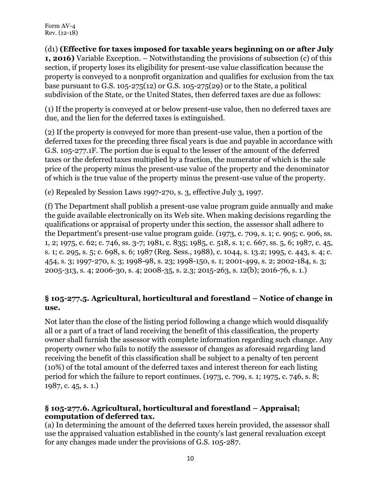(d1) **(Effective for taxes imposed for taxable years beginning on or after July 1, 2016)** Variable Exception. – Notwithstanding the provisions of subsection (c) of this section, if property loses its eligibility for present-use value classification because the property is conveyed to a nonprofit organization and qualifies for exclusion from the tax base pursuant to G.S. 105-275(12) or G.S. 105-275(29) or to the State, a political subdivision of the State, or the United States, then deferred taxes are due as follows:

(1) If the property is conveyed at or below present-use value, then no deferred taxes are due, and the lien for the deferred taxes is extinguished.

(2) If the property is conveyed for more than present-use value, then a portion of the deferred taxes for the preceding three fiscal years is due and payable in accordance with G.S. 105-277.1F. The portion due is equal to the lesser of the amount of the deferred taxes or the deferred taxes multiplied by a fraction, the numerator of which is the sale price of the property minus the present-use value of the property and the denominator of which is the true value of the property minus the present-use value of the property.

(e) Repealed by Session Laws 1997-270, s. 3, effective July 3, 1997.

(f) The Department shall publish a present-use value program guide annually and make the guide available electronically on its Web site. When making decisions regarding the qualifications or appraisal of property under this section, the assessor shall adhere to the Department's present-use value program guide. (1973, c. 709, s. 1; c. 905; c. 906, ss. 1, 2; 1975, c. 62; c. 746, ss. 3-7; 1981, c. 835; 1985, c. 518, s. 1; c. 667, ss. 5, 6; 1987, c. 45, s. 1; c. 295, s. 5; c. 698, s. 6; 1987 (Reg. Sess., 1988), c. 1044, s. 13.2; 1995, c. 443, s. 4; c. 454, s. 3; 1997-270, s. 3; 1998-98, s. 23; 1998-150, s. 1; 2001-499, s. 2; 2002-184, s. 3; 2005-313, s. 4; 2006-30, s. 4; 2008-35, s. 2.3; 2015-263, s. 12(b); 2016-76, s. 1.)

### **§ 105-277.5. Agricultural, horticultural and forestland – Notice of change in use.**

Not later than the close of the listing period following a change which would disqualify all or a part of a tract of land receiving the benefit of this classification, the property owner shall furnish the assessor with complete information regarding such change. Any property owner who fails to notify the assessor of changes as aforesaid regarding land receiving the benefit of this classification shall be subject to a penalty of ten percent (10%) of the total amount of the deferred taxes and interest thereon for each listing period for which the failure to report continues. (1973, c. 709, s. 1; 1975, c. 746, s. 8; 1987, c. 45, s. 1.)

#### **§ 105-277.6. Agricultural, horticultural and forestland – Appraisal; computation of deferred tax.**

(a) In determining the amount of the deferred taxes herein provided, the assessor shall use the appraised valuation established in the county's last general revaluation except for any changes made under the provisions of G.S. 105-287.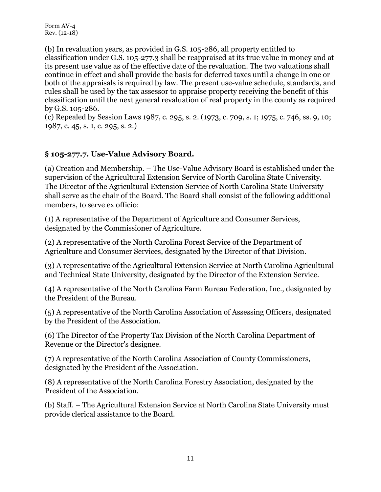(b) In revaluation years, as provided in G.S. 105-286, all property entitled to classification under G.S. 105-277.3 shall be reappraised at its true value in money and at its present use value as of the effective date of the revaluation. The two valuations shall continue in effect and shall provide the basis for deferred taxes until a change in one or both of the appraisals is required by law. The present use-value schedule, standards, and rules shall be used by the tax assessor to appraise property receiving the benefit of this classification until the next general revaluation of real property in the county as required by G.S. 105-286.

(c) Repealed by Session Laws 1987, c. 295, s. 2. (1973, c. 709, s. 1; 1975, c. 746, ss. 9, 10; 1987, c. 45, s. 1, c. 295, s. 2.)

### **§ 105-277.7. Use-Value Advisory Board.**

(a) Creation and Membership. – The Use-Value Advisory Board is established under the supervision of the Agricultural Extension Service of North Carolina State University. The Director of the Agricultural Extension Service of North Carolina State University shall serve as the chair of the Board. The Board shall consist of the following additional members, to serve ex officio:

(1) A representative of the Department of Agriculture and Consumer Services, designated by the Commissioner of Agriculture.

(2) A representative of the North Carolina Forest Service of the Department of Agriculture and Consumer Services, designated by the Director of that Division.

(3) A representative of the Agricultural Extension Service at North Carolina Agricultural and Technical State University, designated by the Director of the Extension Service.

(4) A representative of the North Carolina Farm Bureau Federation, Inc., designated by the President of the Bureau.

(5) A representative of the North Carolina Association of Assessing Officers, designated by the President of the Association.

(6) The Director of the Property Tax Division of the North Carolina Department of Revenue or the Director's designee.

(7) A representative of the North Carolina Association of County Commissioners, designated by the President of the Association.

(8) A representative of the North Carolina Forestry Association, designated by the President of the Association.

(b) Staff. – The Agricultural Extension Service at North Carolina State University must provide clerical assistance to the Board.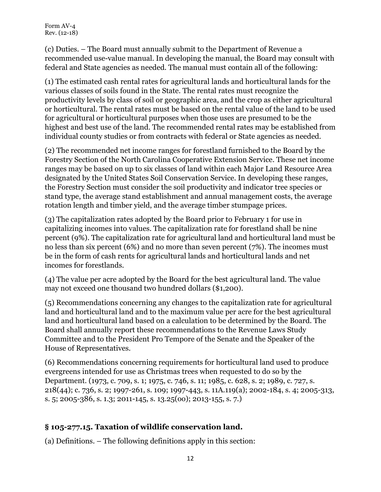(c) Duties. – The Board must annually submit to the Department of Revenue a recommended use-value manual. In developing the manual, the Board may consult with federal and State agencies as needed. The manual must contain all of the following:

(1) The estimated cash rental rates for agricultural lands and horticultural lands for the various classes of soils found in the State. The rental rates must recognize the productivity levels by class of soil or geographic area, and the crop as either agricultural or horticultural. The rental rates must be based on the rental value of the land to be used for agricultural or horticultural purposes when those uses are presumed to be the highest and best use of the land. The recommended rental rates may be established from individual county studies or from contracts with federal or State agencies as needed.

(2) The recommended net income ranges for forestland furnished to the Board by the Forestry Section of the North Carolina Cooperative Extension Service. These net income ranges may be based on up to six classes of land within each Major Land Resource Area designated by the United States Soil Conservation Service. In developing these ranges, the Forestry Section must consider the soil productivity and indicator tree species or stand type, the average stand establishment and annual management costs, the average rotation length and timber yield, and the average timber stumpage prices.

(3) The capitalization rates adopted by the Board prior to February 1 for use in capitalizing incomes into values. The capitalization rate for forestland shall be nine percent (9%). The capitalization rate for agricultural land and horticultural land must be no less than six percent (6%) and no more than seven percent (7%). The incomes must be in the form of cash rents for agricultural lands and horticultural lands and net incomes for forestlands.

(4) The value per acre adopted by the Board for the best agricultural land. The value may not exceed one thousand two hundred dollars (\$1,200).

(5) Recommendations concerning any changes to the capitalization rate for agricultural land and horticultural land and to the maximum value per acre for the best agricultural land and horticultural land based on a calculation to be determined by the Board. The Board shall annually report these recommendations to the Revenue Laws Study Committee and to the President Pro Tempore of the Senate and the Speaker of the House of Representatives.

(6) Recommendations concerning requirements for horticultural land used to produce evergreens intended for use as Christmas trees when requested to do so by the Department. (1973, c. 709, s. 1; 1975, c. 746, s. 11; 1985, c. 628, s. 2; 1989, c. 727, s. 218(44); c. 736, s. 2; 1997-261, s. 109; 1997-443, s. 11A.119(a); 2002-184, s. 4; 2005-313, s. 5; 2005-386, s. 1.3; 2011-145, s. 13.25(oo); 2013-155, s. 7.)

# **§ 105-277.15. Taxation of wildlife conservation land.**

(a) Definitions. – The following definitions apply in this section: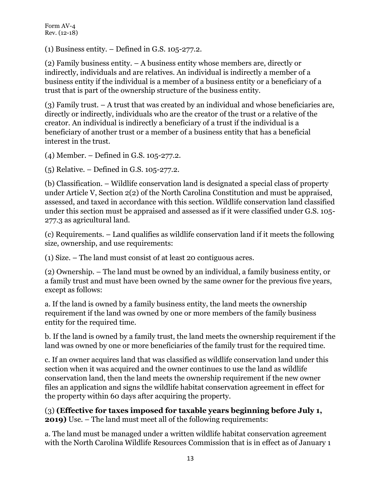(1) Business entity. – Defined in G.S. 105-277.2.

(2) Family business entity. – A business entity whose members are, directly or indirectly, individuals and are relatives. An individual is indirectly a member of a business entity if the individual is a member of a business entity or a beneficiary of a trust that is part of the ownership structure of the business entity.

(3) Family trust. – A trust that was created by an individual and whose beneficiaries are, directly or indirectly, individuals who are the creator of the trust or a relative of the creator. An individual is indirectly a beneficiary of a trust if the individual is a beneficiary of another trust or a member of a business entity that has a beneficial interest in the trust.

(4) Member. – Defined in G.S. 105-277.2.

(5) Relative. – Defined in G.S. 105-277.2.

(b) Classification. – Wildlife conservation land is designated a special class of property under Article V, Section 2(2) of the North Carolina Constitution and must be appraised, assessed, and taxed in accordance with this section. Wildlife conservation land classified under this section must be appraised and assessed as if it were classified under G.S. 105- 277.3 as agricultural land.

(c) Requirements. – Land qualifies as wildlife conservation land if it meets the following size, ownership, and use requirements:

(1) Size. – The land must consist of at least 20 contiguous acres.

(2) Ownership. – The land must be owned by an individual, a family business entity, or a family trust and must have been owned by the same owner for the previous five years, except as follows:

a. If the land is owned by a family business entity, the land meets the ownership requirement if the land was owned by one or more members of the family business entity for the required time.

b. If the land is owned by a family trust, the land meets the ownership requirement if the land was owned by one or more beneficiaries of the family trust for the required time.

c. If an owner acquires land that was classified as wildlife conservation land under this section when it was acquired and the owner continues to use the land as wildlife conservation land, then the land meets the ownership requirement if the new owner files an application and signs the wildlife habitat conservation agreement in effect for the property within 60 days after acquiring the property.

(3) **(Effective for taxes imposed for taxable years beginning before July 1, 2019)** Use. – The land must meet all of the following requirements:

a. The land must be managed under a written wildlife habitat conservation agreement with the North Carolina Wildlife Resources Commission that is in effect as of January 1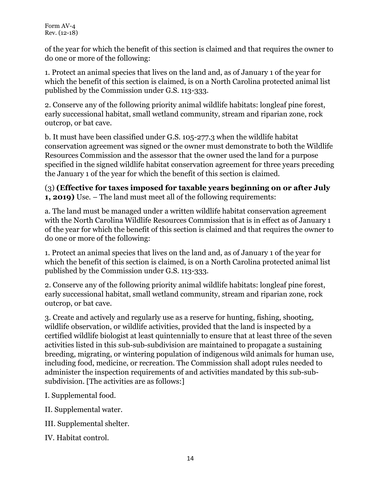of the year for which the benefit of this section is claimed and that requires the owner to do one or more of the following:

1. Protect an animal species that lives on the land and, as of January 1 of the year for which the benefit of this section is claimed, is on a North Carolina protected animal list published by the Commission under G.S. 113-333.

2. Conserve any of the following priority animal wildlife habitats: longleaf pine forest, early successional habitat, small wetland community, stream and riparian zone, rock outcrop, or bat cave.

b. It must have been classified under G.S. 105-277.3 when the wildlife habitat conservation agreement was signed or the owner must demonstrate to both the Wildlife Resources Commission and the assessor that the owner used the land for a purpose specified in the signed wildlife habitat conservation agreement for three years preceding the January 1 of the year for which the benefit of this section is claimed.

(3) **(Effective for taxes imposed for taxable years beginning on or after July 1, 2019)** Use. – The land must meet all of the following requirements:

a. The land must be managed under a written wildlife habitat conservation agreement with the North Carolina Wildlife Resources Commission that is in effect as of January 1 of the year for which the benefit of this section is claimed and that requires the owner to do one or more of the following:

1. Protect an animal species that lives on the land and, as of January 1 of the year for which the benefit of this section is claimed, is on a North Carolina protected animal list published by the Commission under G.S. 113-333.

2. Conserve any of the following priority animal wildlife habitats: longleaf pine forest, early successional habitat, small wetland community, stream and riparian zone, rock outcrop, or bat cave.

3. Create and actively and regularly use as a reserve for hunting, fishing, shooting, wildlife observation, or wildlife activities, provided that the land is inspected by a certified wildlife biologist at least quintennially to ensure that at least three of the seven activities listed in this sub-sub-subdivision are maintained to propagate a sustaining breeding, migrating, or wintering population of indigenous wild animals for human use, including food, medicine, or recreation. The Commission shall adopt rules needed to administer the inspection requirements of and activities mandated by this sub-subsubdivision. [The activities are as follows:]

I. Supplemental food.

- II. Supplemental water.
- III. Supplemental shelter.
- IV. Habitat control.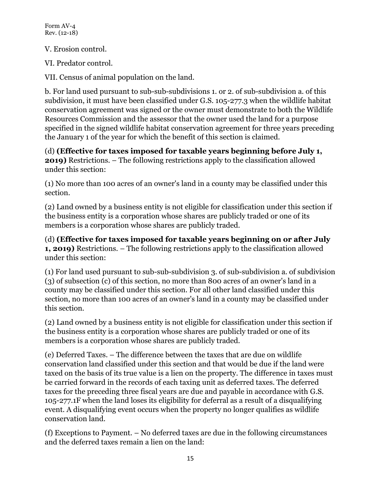V. Erosion control.

VI. Predator control.

VII. Census of animal population on the land.

b. For land used pursuant to sub-sub-subdivisions 1. or 2. of sub-subdivision a. of this subdivision, it must have been classified under G.S. 105-277.3 when the wildlife habitat conservation agreement was signed or the owner must demonstrate to both the Wildlife Resources Commission and the assessor that the owner used the land for a purpose specified in the signed wildlife habitat conservation agreement for three years preceding the January 1 of the year for which the benefit of this section is claimed.

(d) **(Effective for taxes imposed for taxable years beginning before July 1, 2019)** Restrictions. – The following restrictions apply to the classification allowed under this section:

(1) No more than 100 acres of an owner's land in a county may be classified under this section.

(2) Land owned by a business entity is not eligible for classification under this section if the business entity is a corporation whose shares are publicly traded or one of its members is a corporation whose shares are publicly traded.

(d) **(Effective for taxes imposed for taxable years beginning on or after July 1, 2019)** Restrictions. – The following restrictions apply to the classification allowed under this section:

(1) For land used pursuant to sub-sub-subdivision 3. of sub-subdivision a. of subdivision (3) of subsection (c) of this section, no more than 800 acres of an owner's land in a county may be classified under this section. For all other land classified under this section, no more than 100 acres of an owner's land in a county may be classified under this section.

(2) Land owned by a business entity is not eligible for classification under this section if the business entity is a corporation whose shares are publicly traded or one of its members is a corporation whose shares are publicly traded.

(e) Deferred Taxes. – The difference between the taxes that are due on wildlife conservation land classified under this section and that would be due if the land were taxed on the basis of its true value is a lien on the property. The difference in taxes must be carried forward in the records of each taxing unit as deferred taxes. The deferred taxes for the preceding three fiscal years are due and payable in accordance with G.S. 105-277.1F when the land loses its eligibility for deferral as a result of a disqualifying event. A disqualifying event occurs when the property no longer qualifies as wildlife conservation land.

(f) Exceptions to Payment. – No deferred taxes are due in the following circumstances and the deferred taxes remain a lien on the land: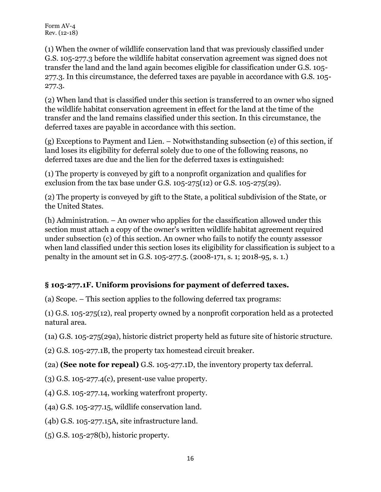(1) When the owner of wildlife conservation land that was previously classified under G.S. 105-277.3 before the wildlife habitat conservation agreement was signed does not transfer the land and the land again becomes eligible for classification under G.S. 105- 277.3. In this circumstance, the deferred taxes are payable in accordance with G.S. 105- 277.3.

(2) When land that is classified under this section is transferred to an owner who signed the wildlife habitat conservation agreement in effect for the land at the time of the transfer and the land remains classified under this section. In this circumstance, the deferred taxes are payable in accordance with this section.

(g) Exceptions to Payment and Lien. – Notwithstanding subsection (e) of this section, if land loses its eligibility for deferral solely due to one of the following reasons, no deferred taxes are due and the lien for the deferred taxes is extinguished:

(1) The property is conveyed by gift to a nonprofit organization and qualifies for exclusion from the tax base under G.S. 105-275(12) or G.S. 105-275(29).

(2) The property is conveyed by gift to the State, a political subdivision of the State, or the United States.

(h) Administration. – An owner who applies for the classification allowed under this section must attach a copy of the owner's written wildlife habitat agreement required under subsection (c) of this section. An owner who fails to notify the county assessor when land classified under this section loses its eligibility for classification is subject to a penalty in the amount set in G.S. 105-277.5. (2008-171, s. 1; 2018-95, s. 1.)

# **§ 105-277.1F. Uniform provisions for payment of deferred taxes.**

(a) Scope. – This section applies to the following deferred tax programs:

(1) G.S. 105-275(12), real property owned by a nonprofit corporation held as a protected natural area.

(1a) G.S. 105-275(29a), historic district property held as future site of historic structure.

(2) G.S. 105-277.1B, the property tax homestead circuit breaker.

(2a) **(See note for repeal)** G.S. 105-277.1D, the inventory property tax deferral.

(3) G.S. 105-277.4(c), present-use value property.

(4) G.S. 105-277.14, working waterfront property.

(4a) G.S. 105-277.15, wildlife conservation land.

(4b) G.S. 105-277.15A, site infrastructure land.

(5) G.S. 105-278(b), historic property.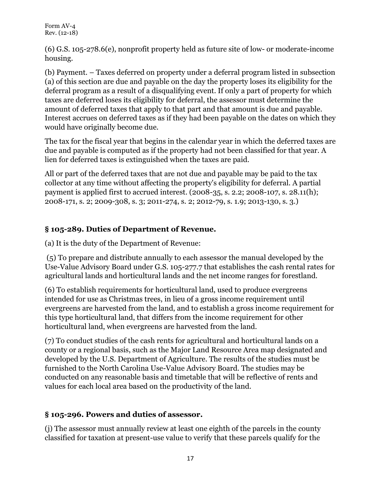(6) G.S. 105-278.6(e), nonprofit property held as future site of low- or moderate-income housing.

(b) Payment. – Taxes deferred on property under a deferral program listed in subsection (a) of this section are due and payable on the day the property loses its eligibility for the deferral program as a result of a disqualifying event. If only a part of property for which taxes are deferred loses its eligibility for deferral, the assessor must determine the amount of deferred taxes that apply to that part and that amount is due and payable. Interest accrues on deferred taxes as if they had been payable on the dates on which they would have originally become due.

The tax for the fiscal year that begins in the calendar year in which the deferred taxes are due and payable is computed as if the property had not been classified for that year. A lien for deferred taxes is extinguished when the taxes are paid.

All or part of the deferred taxes that are not due and payable may be paid to the tax collector at any time without affecting the property's eligibility for deferral. A partial payment is applied first to accrued interest. (2008-35, s. 2.2; 2008-107, s. 28.11(h); 2008-171, s. 2; 2009-308, s. 3; 2011-274, s. 2; 2012-79, s. 1.9; 2013-130, s. 3.)

# **§ 105-289. Duties of Department of Revenue.**

(a) It is the duty of the Department of Revenue:

(5) To prepare and distribute annually to each assessor the manual developed by the Use-Value Advisory Board under G.S. 105-277.7 that establishes the cash rental rates for agricultural lands and horticultural lands and the net income ranges for forestland.

(6) To establish requirements for horticultural land, used to produce evergreens intended for use as Christmas trees, in lieu of a gross income requirement until evergreens are harvested from the land, and to establish a gross income requirement for this type horticultural land, that differs from the income requirement for other horticultural land, when evergreens are harvested from the land.

(7) To conduct studies of the cash rents for agricultural and horticultural lands on a county or a regional basis, such as the Major Land Resource Area map designated and developed by the U.S. Department of Agriculture. The results of the studies must be furnished to the North Carolina Use-Value Advisory Board. The studies may be conducted on any reasonable basis and timetable that will be reflective of rents and values for each local area based on the productivity of the land.

# **§ 105-296. Powers and duties of assessor.**

(j) The assessor must annually review at least one eighth of the parcels in the county classified for taxation at present-use value to verify that these parcels qualify for the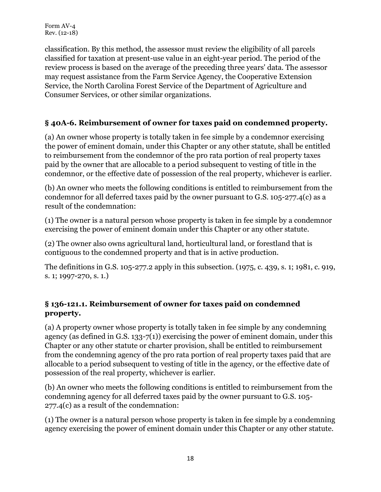classification. By this method, the assessor must review the eligibility of all parcels classified for taxation at present-use value in an eight-year period. The period of the review process is based on the average of the preceding three years' data. The assessor may request assistance from the Farm Service Agency, the Cooperative Extension Service, the North Carolina Forest Service of the Department of Agriculture and Consumer Services, or other similar organizations.

# **§ 40A-6. Reimbursement of owner for taxes paid on condemned property.**

(a) An owner whose property is totally taken in fee simple by a condemnor exercising the power of eminent domain, under this Chapter or any other statute, shall be entitled to reimbursement from the condemnor of the pro rata portion of real property taxes paid by the owner that are allocable to a period subsequent to vesting of title in the condemnor, or the effective date of possession of the real property, whichever is earlier.

(b) An owner who meets the following conditions is entitled to reimbursement from the condemnor for all deferred taxes paid by the owner pursuant to G.S. 105-277.4(c) as a result of the condemnation:

(1) The owner is a natural person whose property is taken in fee simple by a condemnor exercising the power of eminent domain under this Chapter or any other statute.

(2) The owner also owns agricultural land, horticultural land, or forestland that is contiguous to the condemned property and that is in active production.

The definitions in G.S. 105-277.2 apply in this subsection. (1975, c. 439, s. 1; 1981, c. 919, s. 1; 1997-270, s. 1.)

### **§ 136-121.1. Reimbursement of owner for taxes paid on condemned property.**

(a) A property owner whose property is totally taken in fee simple by any condemning agency (as defined in G.S. 133-7(1)) exercising the power of eminent domain, under this Chapter or any other statute or charter provision, shall be entitled to reimbursement from the condemning agency of the pro rata portion of real property taxes paid that are allocable to a period subsequent to vesting of title in the agency, or the effective date of possession of the real property, whichever is earlier.

(b) An owner who meets the following conditions is entitled to reimbursement from the condemning agency for all deferred taxes paid by the owner pursuant to G.S. 105- 277.4(c) as a result of the condemnation:

(1) The owner is a natural person whose property is taken in fee simple by a condemning agency exercising the power of eminent domain under this Chapter or any other statute.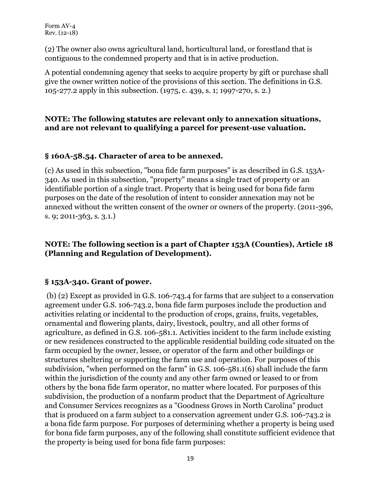(2) The owner also owns agricultural land, horticultural land, or forestland that is contiguous to the condemned property and that is in active production.

A potential condemning agency that seeks to acquire property by gift or purchase shall give the owner written notice of the provisions of this section. The definitions in G.S. 105-277.2 apply in this subsection. (1975, c. 439, s. 1; 1997-270, s. 2.)

#### **NOTE: The following statutes are relevant only to annexation situations, and are not relevant to qualifying a parcel for present-use valuation.**

#### **§ 160A-58.54. Character of area to be annexed.**

(c) As used in this subsection, "bona fide farm purposes" is as described in G.S. 153A-340. As used in this subsection, "property" means a single tract of property or an identifiable portion of a single tract. Property that is being used for bona fide farm purposes on the date of the resolution of intent to consider annexation may not be annexed without the written consent of the owner or owners of the property. (2011-396, s. 9; 2011-363, s. 3.1.)

#### **NOTE: The following section is a part of Chapter 153A (Counties), Article 18 (Planning and Regulation of Development).**

### **§ 153A-340. Grant of power.**

(b) (2) Except as provided in G.S. 106-743.4 for farms that are subject to a conservation agreement under G.S. 106-743.2, bona fide farm purposes include the production and activities relating or incidental to the production of crops, grains, fruits, vegetables, ornamental and flowering plants, dairy, livestock, poultry, and all other forms of agriculture, as defined in G.S. 106-581.1. Activities incident to the farm include existing or new residences constructed to the applicable residential building code situated on the farm occupied by the owner, lessee, or operator of the farm and other buildings or structures sheltering or supporting the farm use and operation. For purposes of this subdivision, "when performed on the farm" in G.S. 106-581.1(6) shall include the farm within the jurisdiction of the county and any other farm owned or leased to or from others by the bona fide farm operator, no matter where located. For purposes of this subdivision, the production of a nonfarm product that the Department of Agriculture and Consumer Services recognizes as a "Goodness Grows in North Carolina" product that is produced on a farm subject to a conservation agreement under G.S. 106-743.2 is a bona fide farm purpose. For purposes of determining whether a property is being used for bona fide farm purposes, any of the following shall constitute sufficient evidence that the property is being used for bona fide farm purposes: